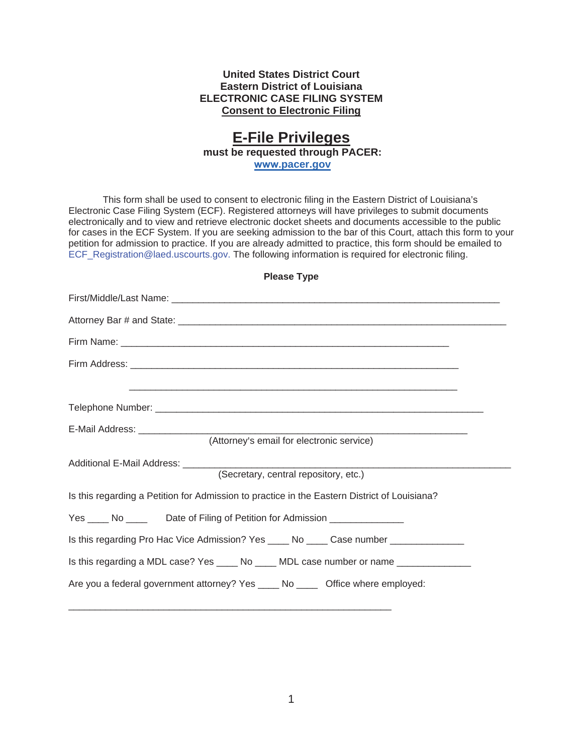## **United States District Court Eastern District of Louisiana ELECTRONIC CASE FILING SYSTEM Consent to Electronic Filing**

## **E-File Privileges must be requested through PACER:**

**www.pacer.gov**

This form shall be used to consent to electronic filing in the Eastern District of Louisiana's Electronic Case Filing System (ECF). Registered attorneys will have privileges to submit documents electronically and to view and retrieve electronic docket sheets and documents accessible to the public for cases in the ECF System. If you are seeking admission to the bar of this Court, attach this form to your petition for admission to practice. If you are already admitted to practice, this form should be emailed to ECF\_Registration@laed.uscourts.gov. The following information is required for electronic filing.

| (Attorney's email for electronic service)                                                    |
|----------------------------------------------------------------------------------------------|
| Additional E-Mail Address: ________<br>(Secretary, central repository, etc.)                 |
| Is this regarding a Petition for Admission to practice in the Eastern District of Louisiana? |
| Yes ______ No __________ Date of Filing of Petition for Admission ______________             |
| Is this regarding Pro Hac Vice Admission? Yes _____ No _____ Case number ______________      |
| Is this regarding a MDL case? Yes _____ No _____ MDL case number or name ______________      |
| Are you a federal government attorney? Yes _____ No ______ Office where employed:            |
|                                                                                              |

**Please Type**

\_\_\_\_\_\_\_\_\_\_\_\_\_\_\_\_\_\_\_\_\_\_\_\_\_\_\_\_\_\_\_\_\_\_\_\_\_\_\_\_\_\_\_\_\_\_\_\_\_\_\_\_\_\_\_\_\_\_\_\_\_